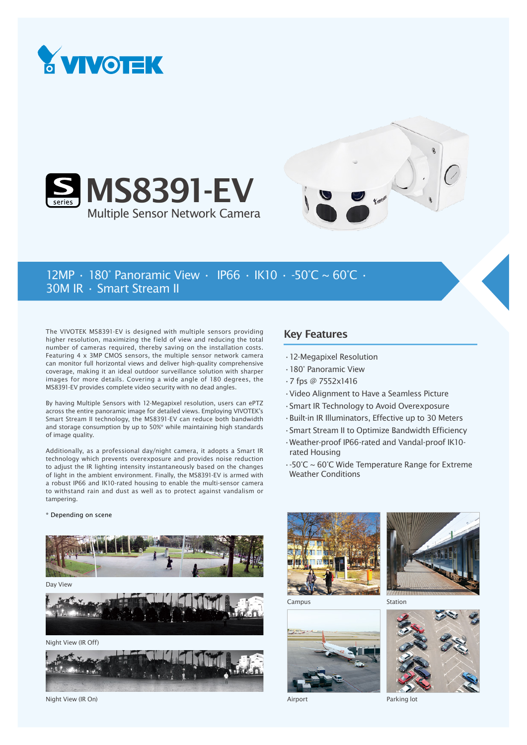





## 12MP • 180° Panoramic View • IP66 • IK10 • -50°C ~ 60°C • 30M IR • Smart Stream II

The VIVOTEK MS8391-EV is designed with multiple sensors providing higher resolution, maximizing the field of view and reducing the total number of cameras required, thereby saving on the installation costs. Featuring 4 x 3MP CMOS sensors, the multiple sensor network camera can monitor full horizontal views and deliver high-quality comprehensive coverage, making it an ideal outdoor surveillance solution with sharper images for more details. Covering a wide angle of 180 degrees, the MS8391-EV provides complete video security with no dead angles.

By having Multiple Sensors with 12-Megapixel resolution, users can ePTZ across the entire panoramic image for detailed views. Employing VIVOTEK's Smart Stream II technology, the MS8391-EV can reduce both bandwidth and storage consumption by up to 50%\* while maintaining high standards of image quality.

Additionally, as a professional day/night camera, it adopts a Smart IR technology which prevents overexposure and provides noise reduction to adjust the IR lighting intensity instantaneously based on the changes of light in the ambient environment. Finally, the MS8391-EV is armed with a robust IP66 and IK10-rated housing to enable the multi-sensor camera to withstand rain and dust as well as to protect against vandalism or tampering.

## \* Depending on scene



Day View



Night View (IR Off)



Night View (IR On)

## Key Features

- •12-Megapixel Resolution
- •180° Panoramic View
- •7 fps @ 7552x1416
- •Video Alignment to Have a Seamless Picture
- •Smart IR Technology to Avoid Overexposure
- •Built-in IR Illuminators, Effective up to 30 Meters
- •Smart Stream II to Optimize Bandwidth Efficiency
- •Weather-proof IP66-rated and Vandal-proof IK10 rated Housing
- •-50°C ~ 60°C Wide Temperature Range for Extreme Weather Conditions





Campus



Airport

Station



Parking lot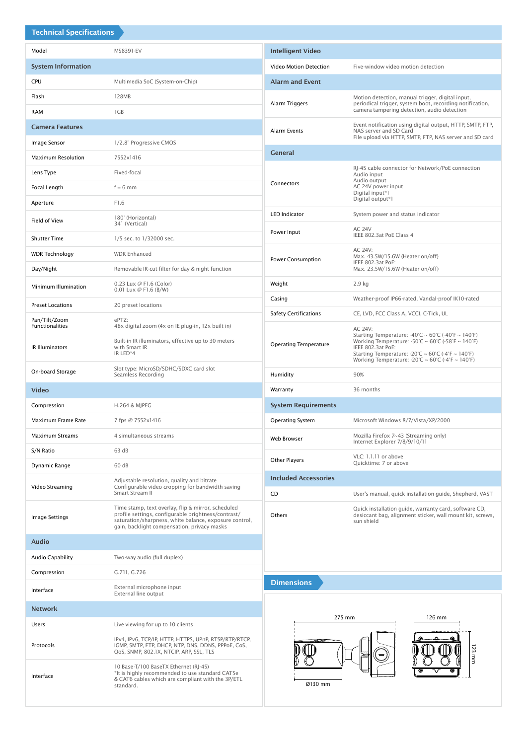| <b>Technical Specifications</b>         |                                                                                                                                                              |                                                                                                                                                                                                                                                                                                                                                                                                              |                                                                                                                                                             |
|-----------------------------------------|--------------------------------------------------------------------------------------------------------------------------------------------------------------|--------------------------------------------------------------------------------------------------------------------------------------------------------------------------------------------------------------------------------------------------------------------------------------------------------------------------------------------------------------------------------------------------------------|-------------------------------------------------------------------------------------------------------------------------------------------------------------|
| Model                                   | MS8391-EV                                                                                                                                                    | <b>Intelligent Video</b>                                                                                                                                                                                                                                                                                                                                                                                     |                                                                                                                                                             |
| <b>System Information</b>               |                                                                                                                                                              | Video Motion Detection                                                                                                                                                                                                                                                                                                                                                                                       | Five-window video motion detection                                                                                                                          |
| <b>CPU</b>                              | Multimedia SoC (System-on-Chip)                                                                                                                              | <b>Alarm and Event</b>                                                                                                                                                                                                                                                                                                                                                                                       |                                                                                                                                                             |
| Flash                                   | 128MB                                                                                                                                                        | Alarm Triggers                                                                                                                                                                                                                                                                                                                                                                                               | Motion detection, manual trigger, digital input,<br>periodical trigger, system boot, recording notification,<br>camera tampering detection, audio detection |
| <b>RAM</b>                              | 1GB                                                                                                                                                          |                                                                                                                                                                                                                                                                                                                                                                                                              |                                                                                                                                                             |
| <b>Camera Features</b>                  |                                                                                                                                                              | <b>Alarm Events</b>                                                                                                                                                                                                                                                                                                                                                                                          | Event notification using digital output, HTTP, SMTP, FTP,<br>NAS server and SD Card<br>File upload via HTTP, SMTP, FTP, NAS server and SD card              |
| Image Sensor                            | 1/2.8" Progressive CMOS                                                                                                                                      | <b>General</b>                                                                                                                                                                                                                                                                                                                                                                                               |                                                                                                                                                             |
| <b>Maximum Resolution</b>               | 7552x1416                                                                                                                                                    | Connectors                                                                                                                                                                                                                                                                                                                                                                                                   | RJ-45 cable connector for Network/PoE connection<br>Audio input<br>Audio output<br>AC 24V power input<br>Digital input*1<br>Digital output*1                |
| Lens Type                               | Fixed-focal                                                                                                                                                  |                                                                                                                                                                                                                                                                                                                                                                                                              |                                                                                                                                                             |
| Focal Length                            | $f = 6$ mm                                                                                                                                                   |                                                                                                                                                                                                                                                                                                                                                                                                              |                                                                                                                                                             |
| Aperture                                | F1.6                                                                                                                                                         | <b>LED Indicator</b>                                                                                                                                                                                                                                                                                                                                                                                         | System power and status indicator                                                                                                                           |
| Field of View                           | 180° (Horizontal)<br>34° (Vertical)                                                                                                                          | Power Input                                                                                                                                                                                                                                                                                                                                                                                                  | <b>AC 24V</b>                                                                                                                                               |
| <b>Shutter Time</b>                     | 1/5 sec. to 1/32000 sec.                                                                                                                                     |                                                                                                                                                                                                                                                                                                                                                                                                              | IEEE 802.3at PoE Class 4                                                                                                                                    |
| <b>WDR Technology</b>                   | <b>WDR Enhanced</b>                                                                                                                                          | Power Consumption                                                                                                                                                                                                                                                                                                                                                                                            | <b>AC 24V:</b><br>Max. 43.5W/15.6W (Heater on/off)<br>IEEE 802.3at PoE:<br>Max. 23.5W/15.6W (Heater on/off)                                                 |
| Day/Night                               | Removable IR-cut filter for day & night function                                                                                                             |                                                                                                                                                                                                                                                                                                                                                                                                              |                                                                                                                                                             |
| Minimum Illumination                    | 0.23 Lux @ F1.6 (Color)<br>0.01 Lux @ F1.6 (B/W)                                                                                                             | Weight                                                                                                                                                                                                                                                                                                                                                                                                       | 2.9 kg                                                                                                                                                      |
| <b>Preset Locations</b>                 | 20 preset locations                                                                                                                                          | Casing                                                                                                                                                                                                                                                                                                                                                                                                       | Weather-proof IP66-rated, Vandal-proof IK10-rated                                                                                                           |
| Pan/Tilt/Zoom<br><b>Functionalities</b> | ePTZ:<br>48x digital zoom (4x on IE plug-in, 12x built in)                                                                                                   | <b>Safety Certifications</b><br>CE, LVD, FCC Class A, VCCI, C-Tick, UL<br><b>AC 24V:</b><br>Starting Temperature: -40°C ~ 60°C (-40°F ~ 140°F)<br>Working Temperature: $-50^{\circ}$ C ~ 60 $^{\circ}$ C ( $-58^{\circ}$ F ~ 140 $^{\circ}$ F)<br><b>Operating Temperature</b><br>IEEE 802.3at PoE:<br>Starting Temperature: -20°C ~ 60°C (-4°F ~ 140°F)<br>Working Temperature: -20°C ~ 60°C (-4°F ~ 140°F) |                                                                                                                                                             |
| IR Illuminators                         | Built-in IR illuminators, effective up to 30 meters<br>with Smart IR<br>IR LED*4                                                                             |                                                                                                                                                                                                                                                                                                                                                                                                              |                                                                                                                                                             |
| On-board Storage                        | Slot type: MicroSD/SDHC/SDXC card slot<br>Seamless Recording                                                                                                 | Humidity                                                                                                                                                                                                                                                                                                                                                                                                     | 90%                                                                                                                                                         |
| <b>Video</b>                            |                                                                                                                                                              | Warranty                                                                                                                                                                                                                                                                                                                                                                                                     | 36 months                                                                                                                                                   |
| Compression                             | H.264 & MJPEG                                                                                                                                                | <b>System Requirements</b>                                                                                                                                                                                                                                                                                                                                                                                   |                                                                                                                                                             |
| Maximum Frame Rate                      | 7 fps @ 7552x1416                                                                                                                                            | <b>Operating System</b>                                                                                                                                                                                                                                                                                                                                                                                      | Microsoft Windows 8/7/Vista/XP/2000                                                                                                                         |
| <b>Maximum Streams</b>                  | 4 simultaneous streams                                                                                                                                       | Web Browser                                                                                                                                                                                                                                                                                                                                                                                                  | Mozilla Firefox 7~43 (Streaming only)<br>Internet Explorer 7/8/9/10/11                                                                                      |
| S/N Ratio                               | 63 dB                                                                                                                                                        |                                                                                                                                                                                                                                                                                                                                                                                                              | VLC: 1.1.11 or above                                                                                                                                        |
| Dynamic Range                           | 60 dB                                                                                                                                                        | <b>Other Players</b>                                                                                                                                                                                                                                                                                                                                                                                         | Quicktime: 7 or above                                                                                                                                       |
| Video Streaming                         | Adjustable resolution, quality and bitrate<br>Configurable video cropping for bandwidth saving<br>Smart Stream II                                            | <b>Included Accessories</b><br>CD                                                                                                                                                                                                                                                                                                                                                                            |                                                                                                                                                             |
|                                         | Time stamp, text overlay, flip & mirror, scheduled                                                                                                           |                                                                                                                                                                                                                                                                                                                                                                                                              | User's manual, quick installation guide, Shepherd, VAST                                                                                                     |
| Image Settings                          | profile settings, configurable brightness/contrast/<br>saturation/sharpness, white balance, exposure control,<br>gain, backlight compensation, privacy masks | Others                                                                                                                                                                                                                                                                                                                                                                                                       | Quick installation quide, warranty card, software CD,<br>desiccant bag, alignment sticker, wall mount kit, screws,<br>sun shield                            |
| <b>Audio</b>                            |                                                                                                                                                              |                                                                                                                                                                                                                                                                                                                                                                                                              |                                                                                                                                                             |
| <b>Audio Capability</b>                 | Two-way audio (full duplex)                                                                                                                                  |                                                                                                                                                                                                                                                                                                                                                                                                              |                                                                                                                                                             |
| Compression                             | G.711, G.726                                                                                                                                                 |                                                                                                                                                                                                                                                                                                                                                                                                              |                                                                                                                                                             |
| Interface                               | External microphone input<br>External line output                                                                                                            | <b>Dimensions</b>                                                                                                                                                                                                                                                                                                                                                                                            |                                                                                                                                                             |
| <b>Network</b>                          |                                                                                                                                                              | 275 mm<br>126 mm<br>123 mm<br>Ø130 mm                                                                                                                                                                                                                                                                                                                                                                        |                                                                                                                                                             |
| Users                                   | Live viewing for up to 10 clients                                                                                                                            |                                                                                                                                                                                                                                                                                                                                                                                                              |                                                                                                                                                             |
| Protocols                               | IPv4, IPv6, TCP/IP, HTTP, HTTPS, UPnP, RTSP/RTP/RTCP,<br>IGMP, SMTP, FTP, DHCP, NTP, DNS, DDNS, PPPoE, CoS,<br>QoS, SNMP, 802.1X, NTCIP, ARP, SSL, TLS       |                                                                                                                                                                                                                                                                                                                                                                                                              |                                                                                                                                                             |
| Interface                               | 10 Base-T/100 BaseTX Ethernet (RJ-45)<br>*It is highly recommended to use standard CAT5e<br>& CAT6 cables which are compliant with the 3P/ETL<br>standard.   |                                                                                                                                                                                                                                                                                                                                                                                                              |                                                                                                                                                             |